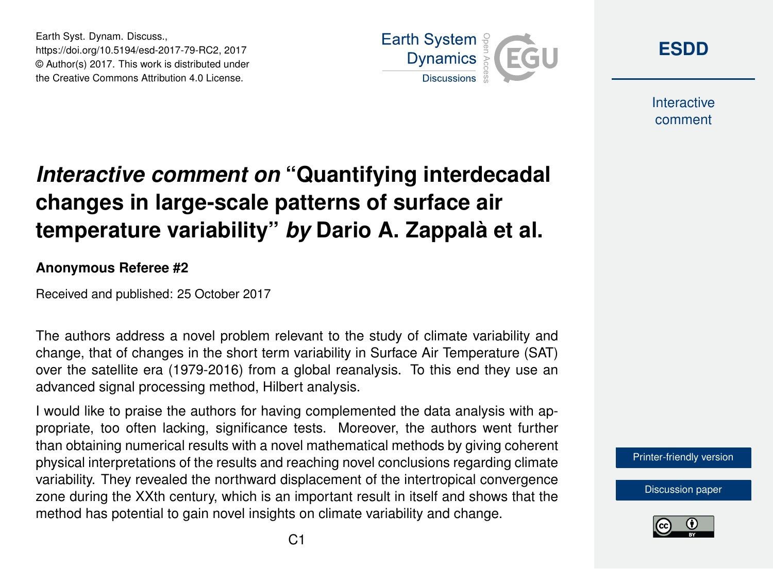Earth Syst. Dynam. Discuss., https://doi.org/10.5194/esd-2017-79-RC2, 2017 © Author(s) 2017. This work is distributed under the Creative Commons Attribution 4.0 License.



**[ESDD](https://www.earth-syst-dynam-discuss.net/)**

**Interactive** comment

## *Interactive comment on* **"Quantifying interdecadal changes in large-scale patterns of surface air temperature variability"** *by* **Dario A. Zappalà et al.**

## **Anonymous Referee #2**

Received and published: 25 October 2017

The authors address a novel problem relevant to the study of climate variability and change, that of changes in the short term variability in Surface Air Temperature (SAT) over the satellite era (1979-2016) from a global reanalysis. To this end they use an advanced signal processing method, Hilbert analysis.

I would like to praise the authors for having complemented the data analysis with appropriate, too often lacking, significance tests. Moreover, the authors went further than obtaining numerical results with a novel mathematical methods by giving coherent physical interpretations of the results and reaching novel conclusions regarding climate variability. They revealed the northward displacement of the intertropical convergence zone during the XXth century, which is an important result in itself and shows that the method has potential to gain novel insights on climate variability and change.

[Printer-friendly version](https://www.earth-syst-dynam-discuss.net/esd-2017-79/esd-2017-79-RC2-print.pdf)

[Discussion paper](https://www.earth-syst-dynam-discuss.net/esd-2017-79)

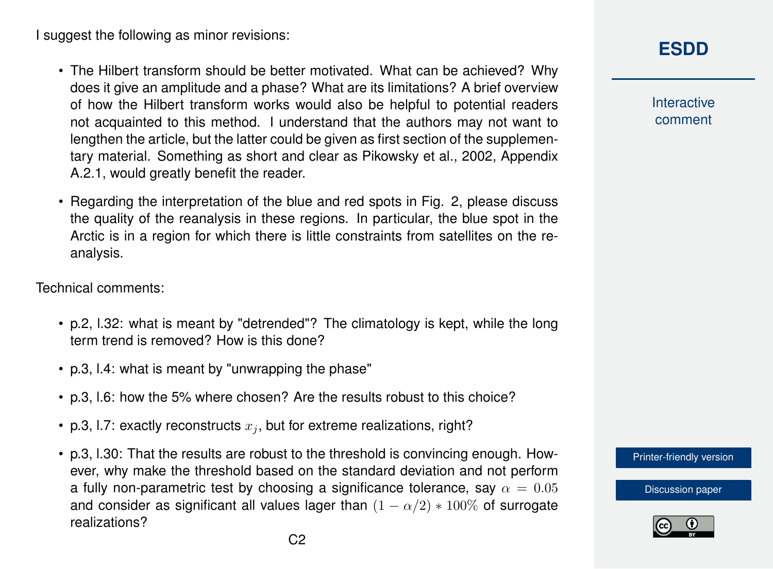I suggest the following as minor revisions:

- The Hilbert transform should be better motivated. What can be achieved? Why does it give an amplitude and a phase? What are its limitations? A brief overview of how the Hilbert transform works would also be helpful to potential readers not acquainted to this method. I understand that the authors may not want to lengthen the article, but the latter could be given as first section of the supplementary material. Something as short and clear as Pikowsky et al., 2002, Appendix A.2.1, would greatly benefit the reader.
- Regarding the interpretation of the blue and red spots in Fig. 2, please discuss the quality of the reanalysis in these regions. In particular, the blue spot in the Arctic is in a region for which there is little constraints from satellites on the reanalysis.

Technical comments:

- p.2, l.32: what is meant by "detrended"? The climatology is kept, while the long term trend is removed? How is this done?
- p.3, l.4: what is meant by "unwrapping the phase"
- p.3, l.6: how the 5% where chosen? Are the results robust to this choice?
- p.3, 1.7: exactly reconstructs  $x_i$ , but for extreme realizations, right?
- p.3, l.30: That the results are robust to the threshold is convincing enough. However, why make the threshold based on the standard deviation and not perform a fully non-parametric test by choosing a significance tolerance, say  $\alpha = 0.05$ and consider as significant all values lager than  $(1 - \alpha/2) * 100\%$  of surrogate realizations?

## **[ESDD](https://www.earth-syst-dynam-discuss.net/)**

**Interactive** comment

[Printer-friendly version](https://www.earth-syst-dynam-discuss.net/esd-2017-79/esd-2017-79-RC2-print.pdf)

[Discussion paper](https://www.earth-syst-dynam-discuss.net/esd-2017-79)